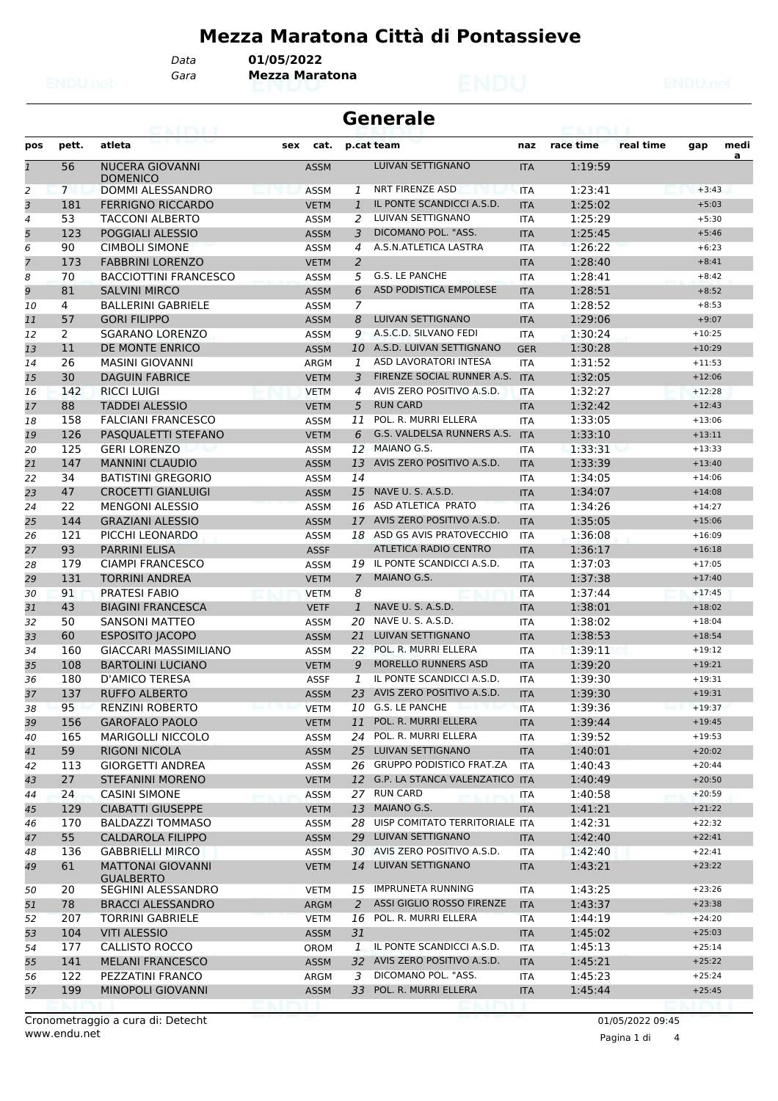## **Mezza Maratona Città di Pontassieve**

*Data* **01/05/2022**

*Gara* **Mezza Maratona**

| <b>Generale</b><br>ALCOHOL: 1 |                       |                                              |             |                |                                   |            |           |           |          |           |
|-------------------------------|-----------------------|----------------------------------------------|-------------|----------------|-----------------------------------|------------|-----------|-----------|----------|-----------|
| pos                           | pett.                 | atleta                                       | cat.<br>sex |                | p.cat team                        | naz        | race time | real time | gap      | medi<br>a |
| $\mathbf{1}$                  | 56                    | <b>NUCERA GIOVANNI</b><br><b>DOMENICO</b>    | <b>ASSM</b> |                | <b>LUIVAN SETTIGNANO</b>          | <b>ITA</b> | 1:19:59   |           |          |           |
| 2                             | $7^{\circ}$           | DOMMI ALESSANDRO                             | <b>ASSM</b> | 1              | NRT FIRENZE ASD                   | <b>ITA</b> | 1:23:41   |           | $+3:43$  |           |
| 3                             | 181                   | <b>FERRIGNO RICCARDO</b>                     | <b>VETM</b> | $\mathbf{1}$   | IL PONTE SCANDICCI A.S.D.         | <b>ITA</b> | 1:25:02   |           | $+5:03$  |           |
| 4                             | 53                    | <b>TACCONI ALBERTO</b>                       | ASSM        | 2              | LUIVAN SETTIGNANO                 | <b>ITA</b> | 1:25:29   |           | $+5:30$  |           |
| 5                             | 123                   | POGGIALI ALESSIO                             | <b>ASSM</b> | 3              | DICOMANO POL. "ASS.               | <b>ITA</b> | 1:25:45   |           | $+5:46$  |           |
| 6                             | 90                    | <b>CIMBOLI SIMONE</b>                        | ASSM        | 4              | A.S.N.ATLETICA LASTRA             | <b>ITA</b> | 1:26:22   |           | $+6:23$  |           |
| 7                             | 173                   | <b>FABBRINI LORENZO</b>                      | <b>VETM</b> | 2              |                                   | <b>ITA</b> | 1:28:40   |           | $+8:41$  |           |
| 8                             | 70                    | <b>BACCIOTTINI FRANCESCO</b>                 | ASSM        | 5              | G.S. LE PANCHE                    | <b>ITA</b> | 1:28:41   |           | $+8:42$  |           |
| 9                             | 81                    | <b>SALVINI MIRCO</b>                         | <b>ASSM</b> | 6              | ASD PODISTICA EMPOLESE            | <b>ITA</b> | 1:28:51   |           | $+8:52$  |           |
| 10                            | 4                     | <b>BALLERINI GABRIELE</b>                    | ASSM        | $\overline{z}$ |                                   | <b>ITA</b> | 1:28:52   |           | $+8:53$  |           |
| 11                            | 57                    | <b>GORI FILIPPO</b>                          | <b>ASSM</b> | 8              | LUIVAN SETTIGNANO                 | <b>ITA</b> | 1:29:06   |           | $+9:07$  |           |
| 12                            | $\mathbf{2}^{\prime}$ | <b>SGARANO LORENZO</b>                       | ASSM        | 9              | A.S.C.D. SILVANO FEDI             | <b>ITA</b> | 1:30:24   |           | $+10:25$ |           |
| 13                            | 11                    | DE MONTE ENRICO                              | <b>ASSM</b> | 10             | A.S.D. LUIVAN SETTIGNANO          | <b>GER</b> | 1:30:28   |           | $+10:29$ |           |
| 14                            | 26                    | <b>MASINI GIOVANNI</b>                       | ARGM        | 1              | ASD LAVORATORI INTESA             | <b>ITA</b> | 1:31:52   |           | $+11:53$ |           |
| 15                            | 30                    | <b>DAGUIN FABRICE</b>                        | <b>VETM</b> | 3              | FIRENZE SOCIAL RUNNER A.S. ITA    |            | 1:32:05   |           | $+12:06$ |           |
| 16                            | 142                   | <b>RICCI LUIGI</b>                           | <b>VETM</b> | 4              | AVIS ZERO POSITIVO A.S.D.         | <b>ITA</b> | 1:32:27   |           | $+12:28$ |           |
| 17                            | 88                    | <b>TADDEI ALESSIO</b>                        | <b>VETM</b> | 5              | <b>RUN CARD</b>                   | <b>ITA</b> | 1:32:42   |           | $+12:43$ |           |
| 18                            | 158                   | <b>FALCIANI FRANCESCO</b>                    | ASSM        | 11             | POL. R. MURRI ELLERA              | <b>ITA</b> | 1:33:05   |           | $+13:06$ |           |
| 19                            | 126                   | PASOUALETTI STEFANO                          | <b>VETM</b> | 6              | G.S. VALDELSA RUNNERS A.S.        | <b>ITA</b> | 1:33:10   |           | $+13:11$ |           |
| 20                            | 125                   | <b>GERI LORENZO</b>                          | <b>ASSM</b> | 12             | MAIANO G.S.                       | <b>ITA</b> | 1:33:31   |           | $+13:33$ |           |
| 21                            | 147                   | <b>MANNINI CLAUDIO</b>                       | <b>ASSM</b> | 13             | AVIS ZERO POSITIVO A.S.D.         | <b>ITA</b> | 1:33:39   |           | $+13:40$ |           |
| 22                            | 34                    | <b>BATISTINI GREGORIO</b>                    | <b>ASSM</b> | 14             |                                   | <b>ITA</b> | 1:34:05   |           | $+14:06$ |           |
| 23                            | 47                    | <b>CROCETTI GIANLUIGI</b>                    | <b>ASSM</b> | 15             | NAVE U. S. A.S.D.                 | <b>ITA</b> | 1:34:07   |           | $+14:08$ |           |
| 24                            | 22                    | <b>MENGONI ALESSIO</b>                       | <b>ASSM</b> |                | 16 ASD ATLETICA PRATO             | <b>ITA</b> | 1:34:26   |           | $+14:27$ |           |
| 25                            | 144                   | <b>GRAZIANI ALESSIO</b>                      | <b>ASSM</b> |                | 17 AVIS ZERO POSITIVO A.S.D.      | <b>ITA</b> | 1:35:05   |           | $+15:06$ |           |
| 26                            | 121                   | PICCHI LEONARDO                              | <b>ASSM</b> |                | 18 ASD GS AVIS PRATOVECCHIO       | <b>ITA</b> | 1:36:08   |           | $+16:09$ |           |
| 27                            | 93                    | <b>PARRINI ELISA</b>                         | <b>ASSF</b> |                | ATLETICA RADIO CENTRO             | <b>ITA</b> | 1:36:17   |           | $+16:18$ |           |
| 28                            | 179                   | <b>CIAMPI FRANCESCO</b>                      | ASSM        |                | 19 IL PONTE SCANDICCI A.S.D.      | <b>ITA</b> | 1:37:03   |           | $+17:05$ |           |
| 29                            | 131                   | <b>TORRINI ANDREA</b>                        | <b>VETM</b> | $\overline{7}$ | MAIANO G.S.                       | <b>ITA</b> | 1:37:38   |           | $+17:40$ |           |
| 30                            | 91                    | <b>PRATESI FABIO</b>                         | <b>VETM</b> | 8              |                                   | <b>ITA</b> | 1:37:44   |           | $+17:45$ |           |
| 31                            | 43                    | <b>BIAGINI FRANCESCA</b>                     | <b>VETF</b> | $\mathbf{1}$   | NAVE U. S. A.S.D.                 | <b>ITA</b> | 1:38:01   |           | $+18:02$ |           |
| 32                            | 50                    | <b>SANSONI MATTEO</b>                        | <b>ASSM</b> | 20             | NAVE U. S. A.S.D.                 | <b>ITA</b> | 1:38:02   |           | $+18:04$ |           |
| 33                            | 60                    | <b>ESPOSITO JACOPO</b>                       | <b>ASSM</b> | 21             | LUIVAN SETTIGNANO                 | <b>ITA</b> | 1:38:53   |           | $+18:54$ |           |
| 34                            | 160                   | <b>GIACCARI MASSIMILIANO</b>                 | <b>ASSM</b> | 22             | POL. R. MURRI ELLERA              | <b>ITA</b> | 1:39:11   |           | $+19:12$ |           |
| 35                            | 108                   | <b>BARTOLINI LUCIANO</b>                     | <b>VETM</b> | 9              | <b>MORELLO RUNNERS ASD</b>        | <b>ITA</b> | 1:39:20   |           | $+19:21$ |           |
| 36                            | 180                   | D'AMICO TERESA                               | <b>ASSF</b> | 1              | IL PONTE SCANDICCI A.S.D.         | <b>ITA</b> | 1:39:30   |           | $+19:31$ |           |
| 37                            | 137                   | <b>RUFFO ALBERTO</b>                         | <b>ASSM</b> | 23.            | AVIS ZERO POSITIVO A.S.D.         | <b>ITA</b> | 1:39:30   |           | $+19:31$ |           |
| 38                            | 95                    | <b>RENZINI ROBERTO</b>                       | <b>VETM</b> |                | 10 G.S. LE PANCHE                 | <b>ITA</b> | 1:39:36   |           | $+19:37$ |           |
| 39                            | 156                   | <b>GAROFALO PAOLO</b>                        | <b>VETM</b> | 11             | POL. R. MURRI ELLERA              | <b>ITA</b> | 1:39:44   |           | $+19:45$ |           |
| 40                            | 165                   | <b>MARIGOLLI NICCOLO</b>                     | ASSM        |                | 24 POL. R. MURRI ELLERA           | ITA        | 1:39:52   |           | $+19:53$ |           |
| 41                            | 59                    | RIGONI NICOLA                                | <b>ASSM</b> | 25             | LUIVAN SETTIGNANO                 | <b>ITA</b> | 1:40:01   |           | $+20:02$ |           |
| 42                            | 113                   | <b>GIORGETTI ANDREA</b>                      | ASSM        |                | 26 GRUPPO PODISTICO FRAT.ZA       | <b>ITA</b> | 1:40:43   |           | $+20:44$ |           |
| 43                            | 27                    | <b>STEFANINI MORENO</b>                      | <b>VETM</b> |                | 12 G.P. LA STANCA VALENZATICO ITA |            | 1:40:49   |           | $+20:50$ |           |
| 44                            | 24                    | <b>CASINI SIMONE</b>                         | <b>ASSM</b> |                | 27 RUN CARD                       | ITA        | 1:40:58   |           | $+20:59$ |           |
| 45                            | 129                   | <b>CIABATTI GIUSEPPE</b>                     | <b>VETM</b> | 13             | MAIANO G.S.                       | <b>ITA</b> | 1:41:21   |           | $+21:22$ |           |
| 46                            | 170                   | <b>BALDAZZI TOMMASO</b>                      | <b>ASSM</b> |                | 28 UISP COMITATO TERRITORIALE ITA |            | 1:42:31   |           | $+22:32$ |           |
| 47                            | 55                    | <b>CALDAROLA FILIPPO</b>                     | <b>ASSM</b> | 29             | LUIVAN SETTIGNANO                 | <b>ITA</b> | 1:42:40   |           | $+22:41$ |           |
| 48                            | 136                   | <b>GABBRIELLI MIRCO</b>                      | ASSM        | 30             | AVIS ZERO POSITIVO A.S.D.         | ITA        | 1:42:40   |           | $+22:41$ |           |
| 49                            | 61                    | <b>MATTONAI GIOVANNI</b><br><b>GUALBERTO</b> | <b>VETM</b> |                | 14 LUIVAN SETTIGNANO              | <b>ITA</b> | 1:43:21   |           | $+23:22$ |           |
| 50                            | 20                    | SEGHINI ALESSANDRO                           | VETM        |                | 15 IMPRUNETA RUNNING              | ITA        | 1:43:25   |           | $+23:26$ |           |
| 51                            | 78                    | <b>BRACCI ALESSANDRO</b>                     | <b>ARGM</b> | 2              | ASSI GIGLIO ROSSO FIRENZE         | <b>ITA</b> | 1:43:37   |           | $+23:38$ |           |
| 52                            | 207                   | <b>TORRINI GABRIELE</b>                      | VETM        | 16             | POL. R. MURRI ELLERA              | ITA        | 1:44:19   |           | $+24:20$ |           |
| 53                            | 104                   | <b>VITI ALESSIO</b>                          | <b>ASSM</b> | 31             |                                   | <b>ITA</b> | 1:45:02   |           | $+25:03$ |           |
| 54                            | 177                   | CALLISTO ROCCO                               | <b>OROM</b> | 1              | IL PONTE SCANDICCI A.S.D.         | ITA        | 1:45:13   |           | $+25:14$ |           |
| 55                            | 141                   | <b>MELANI FRANCESCO</b>                      | <b>ASSM</b> |                | 32 AVIS ZERO POSITIVO A.S.D.      | <b>ITA</b> | 1:45:21   |           | $+25:22$ |           |
| 56                            | 122                   | PEZZATINI FRANCO                             | ARGM        | 3              | DICOMANO POL. "ASS.               | ITA        | 1:45:23   |           | $+25:24$ |           |
| 57                            | 199                   | MINOPOLI GIOVANNI                            | <b>ASSM</b> |                | 33 POL. R. MURRI ELLERA           | <b>ITA</b> | 1:45:44   |           | $+25:45$ |           |
|                               |                       |                                              |             |                |                                   |            |           |           |          |           |

Pagina 1 di 4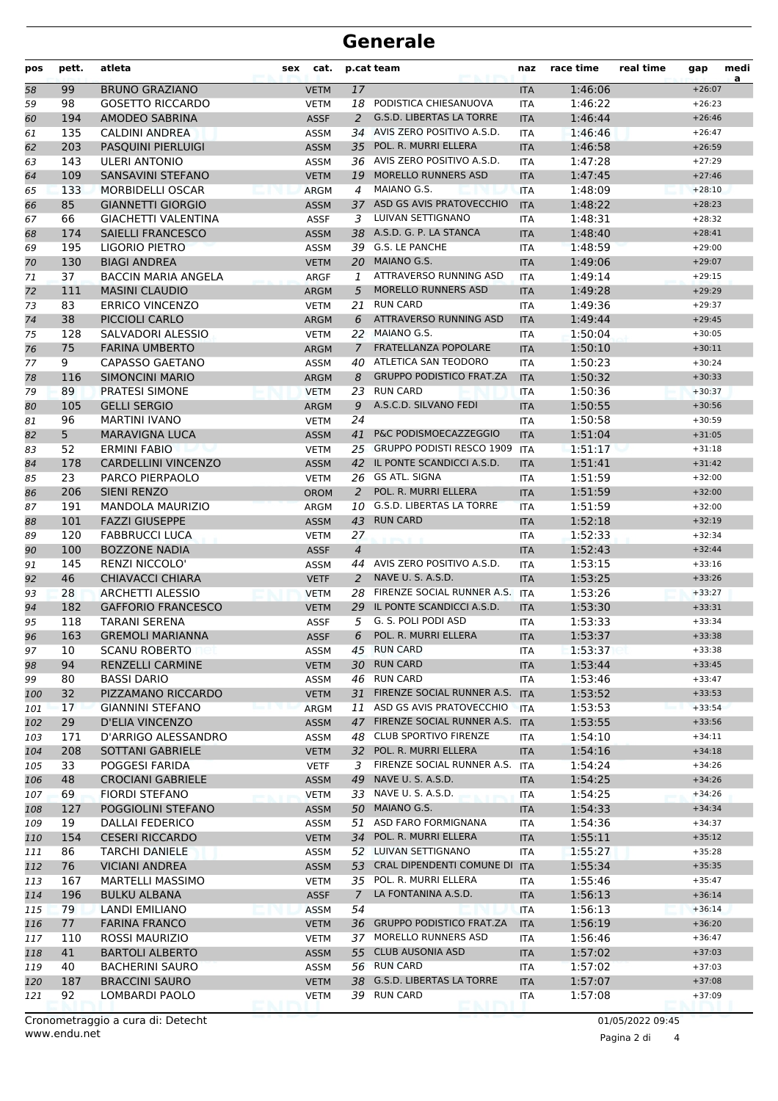## **Generale**

| pos | pett. | atleta                     | sex | cat.        |                | p.cat team                       | naz        | race time | real time | gap      | medi<br>a |
|-----|-------|----------------------------|-----|-------------|----------------|----------------------------------|------------|-----------|-----------|----------|-----------|
| 58  | 99    | <b>BRUNO GRAZIANO</b>      |     | <b>VETM</b> | 17             |                                  | <b>ITA</b> | 1:46:06   |           | $+26:07$ |           |
| 59  | 98    | <b>GOSETTO RICCARDO</b>    |     | <b>VETM</b> |                | 18 PODISTICA CHIESANUOVA         | <b>ITA</b> | 1:46:22   |           | $+26:23$ |           |
| 60  | 194   | AMODEO SABRINA             |     | <b>ASSF</b> | 2              | <b>G.S.D. LIBERTAS LA TORRE</b>  | <b>ITA</b> | 1:46:44   |           | $+26:46$ |           |
| 61  | 135   | <b>CALDINI ANDREA</b>      |     | ASSM        | 34             | AVIS ZERO POSITIVO A.S.D.        | <b>ITA</b> | 1:46:46   |           | $+26:47$ |           |
| 62  | 203   | <b>PASQUINI PIERLUIGI</b>  |     | <b>ASSM</b> | 35             | POL. R. MURRI ELLERA             | <b>ITA</b> | 1:46:58   |           | $+26:59$ |           |
| 63  | 143   | <b>ULERI ANTONIO</b>       |     | ASSM        |                | 36 AVIS ZERO POSITIVO A.S.D.     | <b>ITA</b> | 1:47:28   |           | $+27:29$ |           |
| 64  | 109   | <b>SANSAVINI STEFANO</b>   |     | <b>VETM</b> | 19             | <b>MORELLO RUNNERS ASD</b>       | <b>ITA</b> | 1:47:45   |           | $+27:46$ |           |
| 65  | 133   | <b>MORBIDELLI OSCAR</b>    |     | <b>ARGM</b> | 4              | MAIANO G.S.                      | <b>ITA</b> | 1:48:09   |           | $+28:10$ |           |
| 66  | 85    | <b>GIANNETTI GIORGIO</b>   |     | <b>ASSM</b> |                | 37 ASD GS AVIS PRATOVECCHIO      | <b>ITA</b> | 1:48:22   |           | $+28:23$ |           |
| 67  | 66    | <b>GIACHETTI VALENTINA</b> |     | <b>ASSF</b> | 3              | <b>LUIVAN SETTIGNANO</b>         | <b>ITA</b> | 1:48:31   |           | $+28:32$ |           |
| 68  | 174   | <b>SAIELLI FRANCESCO</b>   |     | <b>ASSM</b> | 38             | A.S.D. G. P. LA STANCA           | <b>ITA</b> | 1:48:40   |           | $+28:41$ |           |
| 69  | 195   | LIGORIO PIETRO             |     | ASSM        | 39             | <b>G.S. LE PANCHE</b>            | <b>ITA</b> | 1:48:59   |           | $+29:00$ |           |
| 70  | 130   | <b>BIAGI ANDREA</b>        |     | <b>VETM</b> | 20             | MAIANO G.S.                      | <b>ITA</b> | 1:49:06   |           | $+29:07$ |           |
| 71  | 37    | <b>BACCIN MARIA ANGELA</b> |     | ARGF        | 1              | ATTRAVERSO RUNNING ASD           | <b>ITA</b> | 1:49:14   |           | $+29:15$ |           |
| 72  | 111   | <b>MASINI CLAUDIO</b>      |     | <b>ARGM</b> | 5              | <b>MORELLO RUNNERS ASD</b>       | <b>ITA</b> | 1:49:28   |           | $+29:29$ |           |
| 73  | 83    | <b>ERRICO VINCENZO</b>     |     | <b>VETM</b> | 21             | <b>RUN CARD</b>                  | <b>ITA</b> | 1:49:36   |           | $+29:37$ |           |
| 74  | 38    | PICCIOLI CARLO             |     | <b>ARGM</b> | 6              | ATTRAVERSO RUNNING ASD           | <b>ITA</b> | 1:49:44   |           | $+29:45$ |           |
| 75  | 128   | SALVADORI ALESSIO          |     | <b>VETM</b> |                | 22 MAIANO G.S.                   | <b>ITA</b> | 1:50:04   |           | $+30:05$ |           |
| 76  | 75    | <b>FARINA UMBERTO</b>      |     | <b>ARGM</b> | $\overline{7}$ | FRATELLANZA POPOLARE             | <b>ITA</b> | 1:50:10   |           | $+30:11$ |           |
| 77  | 9     | <b>CAPASSO GAETANO</b>     |     | <b>ASSM</b> | 40             | ATLETICA SAN TEODORO             | <b>ITA</b> | 1:50:23   |           | $+30:24$ |           |
| 78  | 116   | <b>SIMONCINI MARIO</b>     |     | <b>ARGM</b> | 8              | <b>GRUPPO PODISTICO FRAT.ZA</b>  | <b>ITA</b> | 1:50:32   |           | $+30:33$ |           |
| 79  | 89    | PRATESI SIMONE             |     | <b>VETM</b> | 23             | <b>RUN CARD</b>                  | <b>ITA</b> | 1:50:36   |           | $+30:37$ |           |
| 80  | 105   | <b>GELLI SERGIO</b>        |     | <b>ARGM</b> | 9              | A.S.C.D. SILVANO FEDI            | <b>ITA</b> | 1:50:55   |           | $+30:56$ |           |
| 81  | 96    | <b>MARTINI IVANO</b>       |     | <b>VETM</b> | 24             |                                  | <b>ITA</b> | 1:50:58   |           | $+30:59$ |           |
| 82  | 5     | <b>MARAVIGNA LUCA</b>      |     | <b>ASSM</b> | 41             | <b>P&amp;C PODISMOECAZZEGGIO</b> | <b>ITA</b> | 1:51:04   |           | $+31:05$ |           |
| 83  | 52    | <b>ERMINI FABIO</b>        |     | <b>VETM</b> |                | 25 GRUPPO PODISTI RESCO 1909     | <b>ITA</b> | 1:51:17   |           | $+31:18$ |           |
| 84  | 178   | <b>CARDELLINI VINCENZO</b> |     | <b>ASSM</b> |                | 42 IL PONTE SCANDICCI A.S.D.     | <b>ITA</b> | 1:51:41   |           | $+31:42$ |           |
| 85  | 23    | <b>PARCO PIERPAOLO</b>     |     | <b>VETM</b> | 26             | GS ATL. SIGNA                    | <b>ITA</b> | 1:51:59   |           | $+32:00$ |           |
| 86  | 206   | <b>SIENI RENZO</b>         |     | <b>OROM</b> | 2              | POL. R. MURRI ELLERA             | <b>ITA</b> | 1:51:59   |           | $+32:00$ |           |
| 87  | 191   | <b>MANDOLA MAURIZIO</b>    |     | <b>ARGM</b> | 10             | <b>G.S.D. LIBERTAS LA TORRE</b>  | <b>ITA</b> | 1:51:59   |           | $+32:00$ |           |
| 88  | 101   | <b>FAZZI GIUSEPPE</b>      |     | <b>ASSM</b> | 43             | <b>RUN CARD</b>                  | <b>ITA</b> | 1:52:18   |           | $+32:19$ |           |
| 89  | 120   | <b>FABBRUCCI LUCA</b>      |     | <b>VETM</b> | 27             |                                  | <b>ITA</b> | 1:52:33   |           | $+32:34$ |           |
| 90  | 100   | <b>BOZZONE NADIA</b>       |     | <b>ASSF</b> | $\overline{4}$ |                                  | <b>ITA</b> | 1:52:43   |           | $+32:44$ |           |
| 91  | 145   | <b>RENZI NICCOLO'</b>      |     | ASSM        | 44             | AVIS ZERO POSITIVO A.S.D.        | <b>ITA</b> | 1:53:15   |           | $+33:16$ |           |
| 92  | 46    | <b>CHIAVACCI CHIARA</b>    |     | <b>VETF</b> | 2              | NAVE U.S.A.S.D.                  | <b>ITA</b> | 1:53:25   |           | $+33:26$ |           |
| 93  | 28    | <b>ARCHETTI ALESSIO</b>    |     | <b>VETM</b> | 28             | FIRENZE SOCIAL RUNNER A.S.       | <b>ITA</b> | 1:53:26   |           | $+33:27$ |           |
| 94  | 182   | <b>GAFFORIO FRANCESCO</b>  |     | <b>VETM</b> | 29             | IL PONTE SCANDICCI A.S.D.        | <b>ITA</b> | 1:53:30   |           | $+33:31$ |           |
| 95  | 118   | <b>TARANI SERENA</b>       |     | <b>ASSF</b> | 5              | G. S. POLI PODI ASD              | <b>ITA</b> | 1:53:33   |           | $+33:34$ |           |
| 96  | 163   | <b>GREMOLI MARIANNA</b>    |     | <b>ASSF</b> | 6              | POL. R. MURRI ELLERA             | <b>ITA</b> | 1:53:37   |           | $+33:38$ |           |
| 97  | 10    | <b>SCANU ROBERTO</b>       |     | ASSM        |                | 45 RUN CARD                      | ITA        | 1:53:37   |           | $+33:38$ |           |
| 98  | 94    | RENZELLI CARMINE           |     | <b>VETM</b> | 30             | <b>RUN CARD</b>                  | <b>ITA</b> | 1:53:44   |           | $+33:45$ |           |
| 99  | 80    | <b>BASSI DARIO</b>         |     | ASSM        | 46             | <b>RUN CARD</b>                  | ITA        | 1:53:46   |           | $+33:47$ |           |
| 100 | 32    | PIZZAMANO RICCARDO         |     | <b>VETM</b> | 31             | FIRENZE SOCIAL RUNNER A.S. ITA   |            | 1:53:52   |           | $+33:53$ |           |
| 101 | 17    | <b>GIANNINI STEFANO</b>    |     | <b>ARGM</b> |                | 11 ASD GS AVIS PRATOVECCHIO      | <b>ITA</b> | 1:53:53   |           | $+33:54$ |           |
| 102 | 29    | <b>D'ELIA VINCENZO</b>     |     | <b>ASSM</b> |                | 47 FIRENZE SOCIAL RUNNER A.S.    | <b>ITA</b> | 1:53:55   |           | $+33:56$ |           |
| 103 | 171   | D'ARRIGO ALESSANDRO        |     | ASSM        | 48             | <b>CLUB SPORTIVO FIRENZE</b>     | ITA        | 1:54:10   |           | $+34:11$ |           |
| 104 | 208   | <b>SOTTANI GABRIELE</b>    |     | <b>VETM</b> | 32             | POL. R. MURRI ELLERA             | <b>ITA</b> | 1:54:16   |           | $+34:18$ |           |
| 105 | 33    | POGGESI FARIDA             |     | <b>VETF</b> | 3              | FIRENZE SOCIAL RUNNER A.S.       | ITA        | 1:54:24   |           | $+34:26$ |           |
| 106 | 48    | <b>CROCIANI GABRIELE</b>   |     | <b>ASSM</b> | 49             | NAVE U. S. A.S.D.                | <b>ITA</b> | 1:54:25   |           | $+34:26$ |           |
| 107 | 69    | <b>FIORDI STEFANO</b>      |     | <b>VETM</b> |                | 33 NAVE U. S. A.S.D.             | ITA        | 1:54:25   |           | $+34:26$ |           |
| 108 | 127   | POGGIOLINI STEFANO         |     | <b>ASSM</b> |                | 50 MAIANO G.S.                   | <b>ITA</b> | 1:54:33   |           | $+34:34$ |           |
| 109 | 19    | DALLAI FEDERICO            |     | ASSM        | 51             | ASD FARO FORMIGNANA              | ITA        | 1:54:36   |           | $+34:37$ |           |
| 110 | 154   | <b>CESERI RICCARDO</b>     |     | <b>VETM</b> | 34             | POL. R. MURRI ELLERA             | <b>ITA</b> | 1:55:11   |           | $+35:12$ |           |
| 111 | 86    | <b>TARCHI DANIELE</b>      |     | ASSM        |                | 52 LUIVAN SETTIGNANO             | ITA        | 1:55:27   |           | $+35:28$ |           |
| 112 | 76    | <b>VICIANI ANDREA</b>      |     | <b>ASSM</b> |                | 53 CRAL DIPENDENTI COMUNE DI     | <b>ITA</b> | 1:55:34   |           | $+35:35$ |           |
| 113 | 167   | <b>MARTELLI MASSIMO</b>    |     | VETM        |                | 35 POL. R. MURRI ELLERA          | ITA        | 1:55:46   |           | $+35:47$ |           |
| 114 | 196   | <b>BULKU ALBANA</b>        |     | <b>ASSF</b> | $\overline{7}$ | LA FONTANINA A.S.D.              | <b>ITA</b> | 1:56:13   |           | $+36:14$ |           |
| 115 | 79    | LANDI EMILIANO             |     | <b>ASSM</b> | 54             |                                  | <b>ITA</b> | 1:56:13   |           | $+36:14$ |           |
| 116 | 77    | <b>FARINA FRANCO</b>       |     | <b>VETM</b> |                | 36 GRUPPO PODISTICO FRAT.ZA      | <b>ITA</b> | 1:56:19   |           | $+36:20$ |           |
| 117 | 110   | <b>ROSSI MAURIZIO</b>      |     | <b>VETM</b> | 37.            | MORELLO RUNNERS ASD              | ITA        | 1:56:46   |           | $+36:47$ |           |
| 118 | 41    | <b>BARTOLI ALBERTO</b>     |     | <b>ASSM</b> |                | 55 CLUB AUSONIA ASD              | <b>ITA</b> | 1:57:02   |           | $+37:03$ |           |
| 119 | 40    | <b>BACHERINI SAURO</b>     |     | ASSM        |                | 56 RUN CARD                      | ITA        | 1:57:02   |           | $+37:03$ |           |
| 120 | 187   | <b>BRACCINI SAURO</b>      |     | <b>VETM</b> |                | 38 G.S.D. LIBERTAS LA TORRE      | <b>ITA</b> | 1:57:07   |           | $+37:08$ |           |
| 121 | 92    | LOMBARDI PAOLO             |     | <b>VETM</b> |                | 39 RUN CARD<br>port is.          | ITA        | 1:57:08   |           | $+37:09$ |           |

Pagina 2 di 4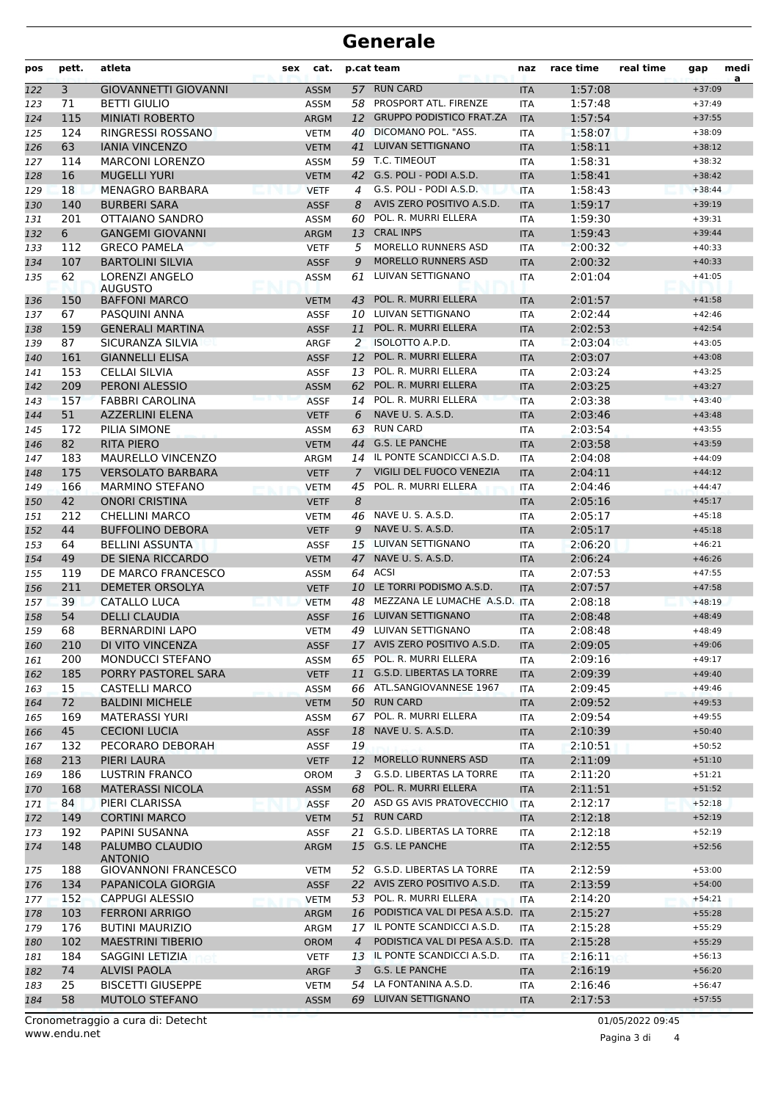## **Generale**

| pos | pett. | atleta<br>cat.<br>p.cat team<br>sex    |  | naz         | race time      | real time                           | gap        | medi<br>a |  |          |  |
|-----|-------|----------------------------------------|--|-------------|----------------|-------------------------------------|------------|-----------|--|----------|--|
| 122 | 3     | <b>GIOVANNETTI GIOVANNI</b>            |  | <b>ASSM</b> |                | 57 RUN CARD                         | <b>ITA</b> | 1:57:08   |  | $+37:09$ |  |
| 123 | 71    | <b>BETTI GIULIO</b>                    |  | <b>ASSM</b> |                | 58 PROSPORT ATL. FIRENZE            | <b>ITA</b> | 1:57:48   |  | $+37:49$ |  |
| 124 | 115   | <b>MINIATI ROBERTO</b>                 |  | <b>ARGM</b> |                | 12 GRUPPO PODISTICO FRAT.ZA         | <b>ITA</b> | 1:57:54   |  | $+37:55$ |  |
| 125 | 124   | RINGRESSI ROSSANO                      |  | <b>VETM</b> | 40             | DICOMANO POL. "ASS.                 | <b>ITA</b> | 1:58:07   |  | $+38:09$ |  |
| 126 | 63    | <b>IANIA VINCENZO</b>                  |  | <b>VETM</b> | 41             | LUIVAN SETTIGNANO                   | <b>ITA</b> | 1:58:11   |  | $+38:12$ |  |
| 127 | 114   | <b>MARCONI LORENZO</b>                 |  | ASSM        |                | 59 T.C. TIMEOUT                     | <b>ITA</b> | 1:58:31   |  | $+38:32$ |  |
| 128 | 16    | <b>MUGELLI YURI</b>                    |  | <b>VETM</b> | 42             | G.S. POLI - PODI A.S.D.             | <b>ITA</b> | 1:58:41   |  | $+38:42$ |  |
| 129 | 18    | <b>MENAGRO BARBARA</b>                 |  | <b>VETF</b> | 4              | G.S. POLI - PODI A.S.D.             | <b>ITA</b> | 1:58:43   |  | $+38:44$ |  |
| 130 | 140   | <b>BURBERI SARA</b>                    |  | <b>ASSF</b> | 8              | AVIS ZERO POSITIVO A.S.D.           | <b>ITA</b> | 1:59:17   |  | $+39:19$ |  |
| 131 | 201   | OTTAIANO SANDRO                        |  | ASSM        | 60             | POL. R. MURRI ELLERA                | <b>ITA</b> | 1:59:30   |  | $+39:31$ |  |
| 132 | 6     | <b>GANGEMI GIOVANNI</b>                |  | <b>ARGM</b> | 13             | <b>CRAL INPS</b>                    | <b>ITA</b> | 1:59:43   |  | $+39:44$ |  |
| 133 | 112   | <b>GRECO PAMELA</b>                    |  | <b>VETF</b> | 5              | MORELLO RUNNERS ASD                 | <b>ITA</b> | 2:00:32   |  | $+40:33$ |  |
| 134 | 107   | <b>BARTOLINI SILVIA</b>                |  | <b>ASSF</b> | 9              | <b>MORELLO RUNNERS ASD</b>          | <b>ITA</b> | 2:00:32   |  | $+40:33$ |  |
| 135 | 62    | LORENZI ANGELO                         |  | <b>ASSM</b> | 61             | LUIVAN SETTIGNANO                   | <b>ITA</b> | 2:01:04   |  | $+41:05$ |  |
| 136 | 150   | <b>AUGUSTO</b><br><b>BAFFONI MARCO</b> |  | <b>VETM</b> | 43             | POL. R. MURRI ELLERA                | <b>ITA</b> | 2:01:57   |  | $+41:58$ |  |
| 137 | 67    | PASQUINI ANNA                          |  | <b>ASSF</b> |                | 10 LUIVAN SETTIGNANO                | <b>ITA</b> | 2:02:44   |  | $+42:46$ |  |
| 138 | 159   | <b>GENERALI MARTINA</b>                |  | <b>ASSF</b> | 11             | POL. R. MURRI ELLERA                | <b>ITA</b> | 2:02:53   |  | $+42:54$ |  |
| 139 | 87    | SICURANZA SILVIA                       |  | <b>ARGF</b> | 2              | <b>ISOLOTTO A.P.D.</b>              | <b>ITA</b> | 2:03:04   |  | $+43:05$ |  |
| 140 | 161   | <b>GIANNELLI ELISA</b>                 |  | <b>ASSF</b> | 12             | POL. R. MURRI ELLERA                | <b>ITA</b> | 2:03:07   |  | $+43:08$ |  |
| 141 | 153   | CELLAI SILVIA                          |  | <b>ASSF</b> | 13             | POL. R. MURRI ELLERA                | <b>ITA</b> | 2:03:24   |  | $+43:25$ |  |
| 142 | 209   | <b>PERONI ALESSIO</b>                  |  | <b>ASSM</b> |                | 62 POL. R. MURRI ELLERA             | <b>ITA</b> | 2:03:25   |  | $+43:27$ |  |
| 143 | 157   | <b>FABBRI CAROLINA</b>                 |  | <b>ASSF</b> | 14             | POL. R. MURRI ELLERA                | <b>ITA</b> | 2:03:38   |  | $+43:40$ |  |
| 144 | 51    | <b>AZZERLINI ELENA</b>                 |  | <b>VETF</b> | 6              | NAVE U. S. A.S.D.                   | <b>ITA</b> | 2:03:46   |  | $+43:48$ |  |
| 145 | 172   | PILIA SIMONE                           |  | ASSM        | 63             | <b>RUN CARD</b>                     | <b>ITA</b> | 2:03:54   |  | $+43:55$ |  |
| 146 | 82    | <b>RITA PIERO</b>                      |  | <b>VETM</b> | 44             | <b>G.S. LE PANCHE</b>               | <b>ITA</b> | 2:03:58   |  | $+43:59$ |  |
| 147 | 183   | <b>MAURELLO VINCENZO</b>               |  | ARGM        |                | 14 IL PONTE SCANDICCI A.S.D.        | <b>ITA</b> | 2:04:08   |  | $+44:09$ |  |
| 148 | 175   | <b>VERSOLATO BARBARA</b>               |  | <b>VETF</b> | $\mathcal{I}$  | VIGILI DEL FUOCO VENEZIA            | <b>ITA</b> | 2:04:11   |  | $+44:12$ |  |
| 149 | 166   | <b>MARMINO STEFANO</b>                 |  | <b>VETM</b> | 45             | POL. R. MURRI ELLERA                | <b>ITA</b> | 2:04:46   |  | $+44:47$ |  |
| 150 | 42    | <b>ONORI CRISTINA</b>                  |  | <b>VETF</b> | 8              |                                     | <b>ITA</b> | 2:05:16   |  | $+45:17$ |  |
| 151 | 212   | <b>CHELLINI MARCO</b>                  |  | <b>VETM</b> | 46             | NAVE U. S. A.S.D.                   | <b>ITA</b> | 2:05:17   |  | $+45:18$ |  |
| 152 | 44    | <b>BUFFOLINO DEBORA</b>                |  | <b>VETF</b> | 9              | NAVE U. S. A.S.D.                   | <b>ITA</b> | 2:05:17   |  | $+45:18$ |  |
| 153 | 64    | <b>BELLINI ASSUNTA</b>                 |  | <b>ASSF</b> |                | 15 LUIVAN SETTIGNANO                | <b>ITA</b> | 2:06:20   |  | $+46:21$ |  |
| 154 | 49    | DE SIENA RICCARDO                      |  | <b>VETM</b> | 47             | NAVE U. S. A.S.D.                   | <b>ITA</b> | 2:06:24   |  | $+46:26$ |  |
| 155 | 119   | DE MARCO FRANCESCO                     |  | ASSM        |                | 64 ACSI                             | <b>ITA</b> | 2:07:53   |  | $+47:55$ |  |
| 156 | 211   | DEMETER ORSOLYA                        |  | <b>VETF</b> | 10             | LE TORRI PODISMO A.S.D.             | <b>ITA</b> | 2:07:57   |  | $+47:58$ |  |
| 157 | 39    | CATALLO LUCA                           |  | <b>VETM</b> | 48             | MEZZANA LE LUMACHE A.S.D. ITA       |            | 2:08:18   |  | $+48:19$ |  |
| 158 | 54    | <b>DELLI CLAUDIA</b>                   |  | <b>ASSF</b> | 16             | LUIVAN SETTIGNANO                   | <b>ITA</b> | 2:08:48   |  | $+48:49$ |  |
| 159 | 68    | <b>BERNARDINI LAPO</b>                 |  | <b>VETM</b> |                | 49 LUIVAN SETTIGNANO                | <b>ITA</b> | 2:08:48   |  | $+48:49$ |  |
| 160 | 210   | DI VITO VINCENZA                       |  | <b>ASSF</b> |                | 17 AVIS ZERO POSITIVO A.S.D.        | <b>ITA</b> | 2:09:05   |  | $+49:06$ |  |
| 161 | 200   | MONDUCCI STEFANO                       |  | ASSM        |                | 65 POL. R. MURRI ELLERA             | ITA        | 2:09:16   |  | $+49:17$ |  |
| 162 | 185   | PORRY PASTOREL SARA                    |  | <b>VETF</b> | 11             | G.S.D. LIBERTAS LA TORRE            | <b>ITA</b> | 2:09:39   |  | $+49:40$ |  |
| 163 | 15    | <b>CASTELLI MARCO</b>                  |  | ASSM        |                | 66 ATL.SANGIOVANNESE 1967           | <b>ITA</b> | 2:09:45   |  | $+49:46$ |  |
| 164 | 72    | <b>BALDINI MICHELE</b>                 |  | <b>VETM</b> |                | 50 RUN CARD                         | <b>ITA</b> | 2:09:52   |  | $+49:53$ |  |
| 165 | 169   | <b>MATERASSI YURI</b>                  |  | ASSM        |                | 67 POL. R. MURRI ELLERA             | ITA        | 2:09:54   |  | $+49:55$ |  |
| 166 | 45    | <b>CECIONI LUCIA</b>                   |  | <b>ASSF</b> | 18             | NAVE U. S. A.S.D.                   | <b>ITA</b> | 2:10:39   |  | $+50:40$ |  |
| 167 | 132   | PECORARO DEBORAH                       |  | <b>ASSF</b> | 19             |                                     | ITA        | 2:10:51   |  | $+50:52$ |  |
| 168 | 213   | PIERI LAURA                            |  | <b>VETF</b> | 12             | MORELLO RUNNERS ASD                 | <b>ITA</b> | 2:11:09   |  | $+51:10$ |  |
| 169 | 186   | <b>LUSTRIN FRANCO</b>                  |  | <b>OROM</b> | 3              | G.S.D. LIBERTAS LA TORRE            | ITA        | 2:11:20   |  | $+51:21$ |  |
| 170 | 168   | <b>MATERASSI NICOLA</b>                |  | <b>ASSM</b> | 68             | POL. R. MURRI ELLERA                | <b>ITA</b> | 2:11:51   |  | $+51:52$ |  |
| 171 | 84    | PIERI CLARISSA                         |  | <b>ASSF</b> |                | 20 ASD GS AVIS PRATOVECCHIO         | <b>ITA</b> | 2:12:17   |  | $+52:18$ |  |
| 172 | 149   | <b>CORTINI MARCO</b>                   |  | <b>VETM</b> |                | 51 RUN CARD                         | <b>ITA</b> | 2:12:18   |  | $+52:19$ |  |
| 173 | 192   | PAPINI SUSANNA                         |  | <b>ASSF</b> |                | 21 G.S.D. LIBERTAS LA TORRE         | ITA        | 2:12:18   |  | $+52:19$ |  |
| 174 | 148   | PALUMBO CLAUDIO                        |  | <b>ARGM</b> |                | 15 G.S. LE PANCHE                   | <b>ITA</b> | 2:12:55   |  | $+52:56$ |  |
|     |       | <b>ANTONIO</b>                         |  |             |                |                                     |            |           |  |          |  |
| 175 | 188   | <b>GIOVANNONI FRANCESCO</b>            |  | <b>VETM</b> |                | 52 G.S.D. LIBERTAS LA TORRE         | ITA        | 2:12:59   |  | $+53:00$ |  |
| 176 | 134   | PAPANICOLA GIORGIA                     |  | <b>ASSF</b> |                | 22 AVIS ZERO POSITIVO A.S.D.        | <b>ITA</b> | 2:13:59   |  | $+54:00$ |  |
| 177 | 152   | <b>CAPPUGI ALESSIO</b>                 |  | <b>VETM</b> | 53             | POL. R. MURRI ELLERA                | ITA        | 2:14:20   |  | $+54:21$ |  |
| 178 | 103   | <b>FERRONI ARRIGO</b>                  |  | <b>ARGM</b> |                | 16 PODISTICA VAL DI PESA A.S.D. ITA |            | 2:15:27   |  | $+55:28$ |  |
| 179 | 176   | <b>BUTINI MAURIZIO</b>                 |  | ARGM        |                | 17 IL PONTE SCANDICCI A.S.D.        | ITA        | 2:15:28   |  | $+55:29$ |  |
| 180 | 102   | <b>MAESTRINI TIBERIO</b>               |  | <b>OROM</b> | $\overline{4}$ | PODISTICA VAL DI PESA A.S.D. ITA    |            | 2:15:28   |  | $+55:29$ |  |
| 181 | 184   | SAGGINI LETIZIA                        |  | <b>VETF</b> |                | 13 IL PONTE SCANDICCI A.S.D.        | ITA.       | 2:16:11   |  | $+56:13$ |  |
| 182 | 74    | <b>ALVISI PAOLA</b>                    |  | ARGF        | 3              | G.S. LE PANCHE                      | <b>ITA</b> | 2:16:19   |  | $+56:20$ |  |
| 183 | 25    | <b>BISCETTI GIUSEPPE</b>               |  | <b>VETM</b> | 54             | LA FONTANINA A.S.D.                 | ITA        | 2:16:46   |  | $+56:47$ |  |
| 184 | 58    | MUTOLO STEFANO                         |  | <b>ASSM</b> |                | 69 LUIVAN SETTIGNANO                | <b>ITA</b> | 2:17:53   |  | $+57:55$ |  |

Pagina 3 di 4